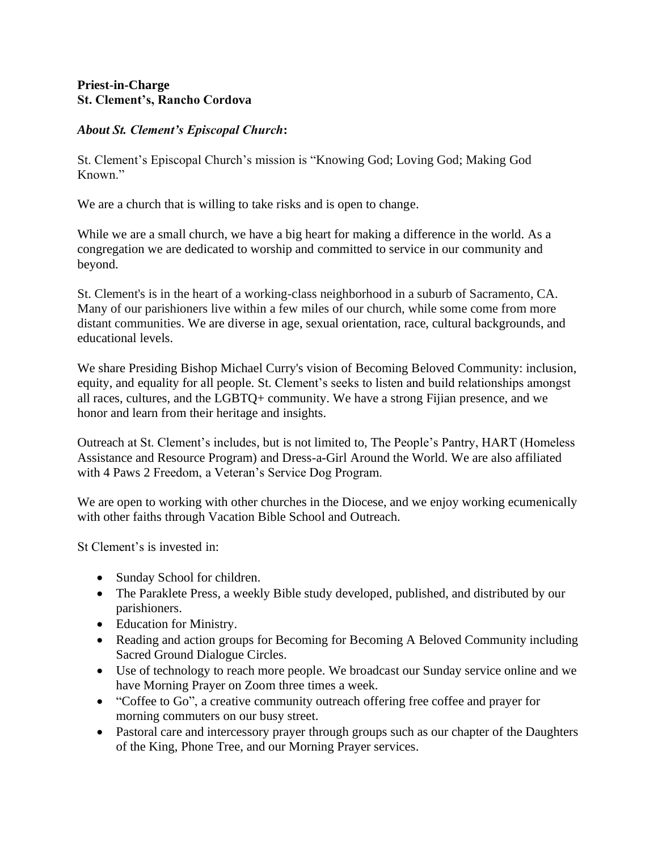#### **Priest-in-Charge St. Clement's, Rancho Cordova**

## *About St. Clement's Episcopal Church***:**

St. Clement's Episcopal Church's mission is "Knowing God; Loving God; Making God Known."

We are a church that is willing to take risks and is open to change.

While we are a small church, we have a big heart for making a difference in the world. As a congregation we are dedicated to worship and committed to service in our community and beyond.

St. Clement's is in the heart of a working-class neighborhood in a suburb of Sacramento, CA. Many of our parishioners live within a few miles of our church, while some come from more distant communities. We are diverse in age, sexual orientation, race, cultural backgrounds, and educational levels.

We share Presiding Bishop Michael Curry's vision of Becoming Beloved Community: inclusion, equity, and equality for all people. St. Clement's seeks to listen and build relationships amongst all races, cultures, and the LGBTQ+ community. We have a strong Fijian presence, and we honor and learn from their heritage and insights.

Outreach at St. Clement's includes, but is not limited to, The People's Pantry, HART (Homeless Assistance and Resource Program) and Dress-a-Girl Around the World. We are also affiliated with 4 Paws 2 Freedom, a Veteran's Service Dog Program.

We are open to working with other churches in the Diocese, and we enjoy working ecumenically with other faiths through Vacation Bible School and Outreach.

St Clement's is invested in:

- Sunday School for children.
- The Paraklete Press, a weekly Bible study developed, published, and distributed by our parishioners.
- Education for Ministry.
- Reading and action groups for Becoming for Becoming A Beloved Community including Sacred Ground Dialogue Circles.
- Use of technology to reach more people. We broadcast our Sunday service online and we have Morning Prayer on Zoom three times a week.
- "Coffee to Go", a creative community outreach offering free coffee and prayer for morning commuters on our busy street.
- Pastoral care and intercessory prayer through groups such as our chapter of the Daughters of the King, Phone Tree, and our Morning Prayer services.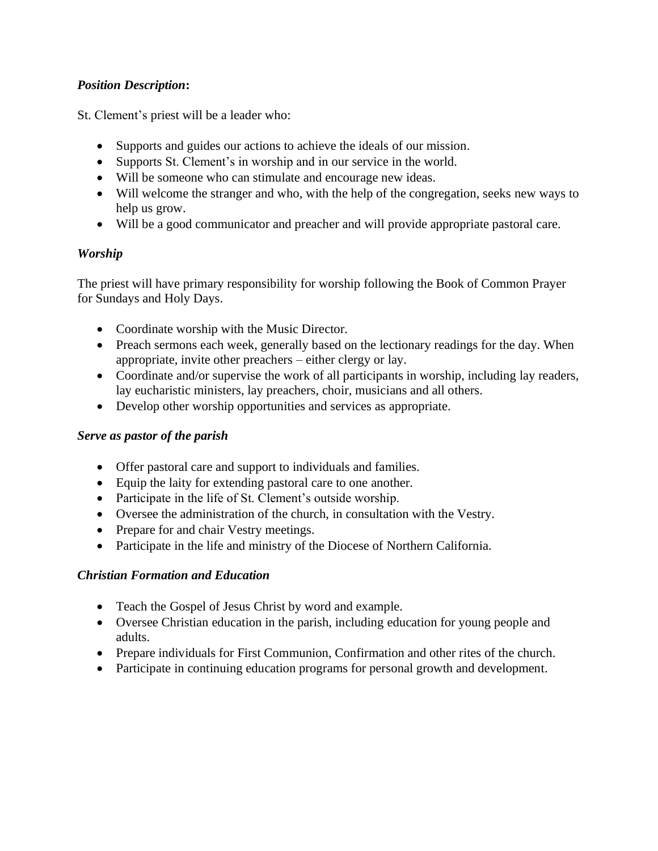# *Position Description***:**

St. Clement's priest will be a leader who:

- Supports and guides our actions to achieve the ideals of our mission.
- Supports St. Clement's in worship and in our service in the world.
- Will be someone who can stimulate and encourage new ideas.
- Will welcome the stranger and who, with the help of the congregation, seeks new ways to help us grow.
- Will be a good communicator and preacher and will provide appropriate pastoral care.

## *Worship*

The priest will have primary responsibility for worship following the Book of Common Prayer for Sundays and Holy Days.

- Coordinate worship with the Music Director.
- Preach sermons each week, generally based on the lectionary readings for the day. When appropriate, invite other preachers – either clergy or lay.
- Coordinate and/or supervise the work of all participants in worship, including lay readers, lay eucharistic ministers, lay preachers, choir, musicians and all others.
- Develop other worship opportunities and services as appropriate.

## *Serve as pastor of the parish*

- Offer pastoral care and support to individuals and families.
- Equip the laity for extending pastoral care to one another.
- Participate in the life of St. Clement's outside worship.
- Oversee the administration of the church, in consultation with the Vestry.
- Prepare for and chair Vestry meetings.
- Participate in the life and ministry of the Diocese of Northern California.

## *Christian Formation and Education*

- Teach the Gospel of Jesus Christ by word and example.
- Oversee Christian education in the parish, including education for young people and adults.
- Prepare individuals for First Communion, Confirmation and other rites of the church.
- Participate in continuing education programs for personal growth and development.